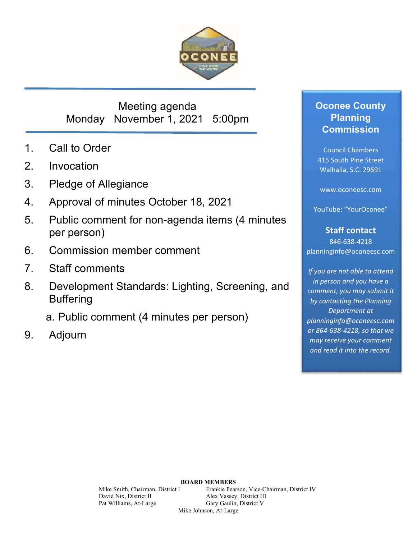

# Meeting agenda Monday November 1, 2021 5:00pm

- 1. Call to Order
- 2. Invocation
- 3. Pledge of Allegiance
- 4. Approval of minutes October 18, 2021
- 5. Public comment for non-agenda items (4 minutes per person)
- 6. Commission member comment
- 7. Staff comments
- 8. Development Standards: Lighting, Screening, and **Buffering** 
	- a. Public comment (4 minutes per person)
- 9. Adjourn

## **Oconee County Planning Commission**

Council Chambers 415 South Pine Street Walhalla, S.C. 29691

www.oconeesc.com

YouTube: "YourOconee"

## **Staff contact**

846‐638‐4218 planninginfo@oconeesc.com

*If you are not able to attend in person and you have a comment, you may submit it by contacting the Planning Department at planninginfo@oconeesc.com or 864‐638‐4218, so that we may receive your comment and read it into the record.*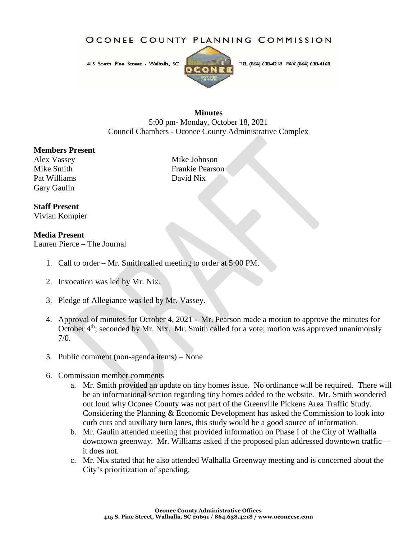OCONEE COUNTY PLANNING COMMISSION

415 South Pine Street - Walhalla, SC



TEL (864) 638-4218 FAX (864) 638-4168

#### **Minutes**

5:00 pm- Monday, October 18, 2021 Council Chambers - Oconee County Administrative Complex

#### **Members Present**

Alex Vassey Mike Johnson Pat Williams David Nix Gary Gaulin

Mike Smith Frankie Pearson

#### **Staff Present**

Vivian Kompier

#### **Media Present**

Lauren Pierce – The Journal

- 1. Call to order Mr. Smith called meeting to order at 5:00 PM.
- 2. Invocation was led by Mr. Nix.
- 3. Pledge of Allegiance was led by Mr. Vassey.
- 4. Approval of minutes for October 4, 2021 Mr. Pearson made a motion to approve the minutes for October 4<sup>th</sup>; seconded by Mr. Nix. Mr. Smith called for a vote; motion was approved unanimously  $7/0.$
- 5. Public comment (non-agenda items) None
- 6. Commission member comments
	- a. Mr. Smith provided an update on tiny homes issue. No ordinance will be required. There will be an informational section regarding tiny homes added to the website. Mr. Smith wondered out loud why Oconee County was not part of the Greenville Pickens Area Traffic Study. Considering the Planning & Economic Development has asked the Commission to look into curb cuts and auxiliary turn lanes, this study would be a good source of information.
	- b. Mr. Gaulin attended meeting that provided information on Phase I of the City of Walhalla downtown greenway. Mr. Williams asked if the proposed plan addressed downtown traffic it does not.
	- c. Mr. Nix stated that he also attended Walhalla Greenway meeting and is concerned about the City's prioritization of spending.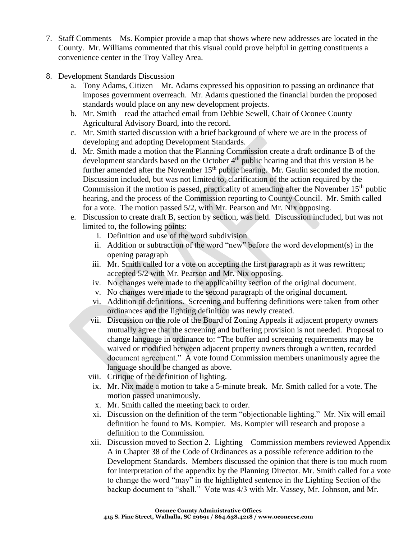- 7. Staff Comments Ms. Kompier provide a map that shows where new addresses are located in the County. Mr. Williams commented that this visual could prove helpful in getting constituents a convenience center in the Troy Valley Area.
- 8. Development Standards Discussion
	- a. Tony Adams, Citizen Mr. Adams expressed his opposition to passing an ordinance that imposes government overreach. Mr. Adams questioned the financial burden the proposed standards would place on any new development projects.
	- b. Mr. Smith read the attached email from Debbie Sewell, Chair of Oconee County Agricultural Advisory Board, into the record.
	- c. Mr. Smith started discussion with a brief background of where we are in the process of developing and adopting Development Standards.
	- d. Mr. Smith made a motion that the Planning Commission create a draft ordinance B of the development standards based on the October 4<sup>th</sup> public hearing and that this version B be further amended after the November  $15<sup>th</sup>$  public hearing. Mr. Gaulin seconded the motion. Discussion included, but was not limited to, clarification of the action required by the Commission if the motion is passed, practicality of amending after the November  $15<sup>th</sup>$  public hearing, and the process of the Commission reporting to County Council. Mr. Smith called for a vote. The motion passed 5/2, with Mr. Pearson and Mr. Nix opposing.
	- e. Discussion to create draft B, section by section, was held. Discussion included, but was not limited to, the following points:
		- i. Definition and use of the word subdivision
		- ii. Addition or subtraction of the word "new" before the word development(s) in the opening paragraph
		- iii. Mr. Smith called for a vote on accepting the first paragraph as it was rewritten; accepted 5/2 with Mr. Pearson and Mr. Nix opposing.
		- iv. No changes were made to the applicability section of the original document.
		- v. No changes were made to the second paragraph of the original document.
		- vi. Addition of definitions. Screening and buffering definitions were taken from other ordinances and the lighting definition was newly created.
		- vii. Discussion on the role of the Board of Zoning Appeals if adjacent property owners mutually agree that the screening and buffering provision is not needed. Proposal to change language in ordinance to: "The buffer and screening requirements may be waived or modified between adjacent property owners through a written, recorded document agreement." A vote found Commission members unanimously agree the language should be changed as above.
		- viii. Critique of the definition of lighting.
		- ix. Mr. Nix made a motion to take a 5-minute break. Mr. Smith called for a vote. The motion passed unanimously.
		- x. Mr. Smith called the meeting back to order.
		- xi. Discussion on the definition of the term "objectionable lighting." Mr. Nix will email definition he found to Ms. Kompier. Ms. Kompier will research and propose a definition to the Commission.
		- xii. Discussion moved to Section 2. Lighting Commission members reviewed Appendix A in Chapter 38 of the Code of Ordinances as a possible reference addition to the Development Standards. Members discussed the opinion that there is too much room for interpretation of the appendix by the Planning Director. Mr. Smith called for a vote to change the word "may" in the highlighted sentence in the Lighting Section of the backup document to "shall." Vote was 4/3 with Mr. Vassey, Mr. Johnson, and Mr.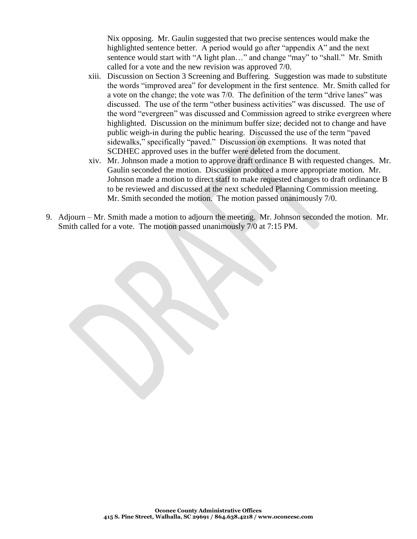Nix opposing. Mr. Gaulin suggested that two precise sentences would make the highlighted sentence better. A period would go after "appendix A" and the next sentence would start with "A light plan..." and change "may" to "shall." Mr. Smith called for a vote and the new revision was approved 7/0.

- xiii. Discussion on Section 3 Screening and Buffering. Suggestion was made to substitute the words "improved area" for development in the first sentence. Mr. Smith called for a vote on the change; the vote was 7/0. The definition of the term "drive lanes" was discussed. The use of the term "other business activities" was discussed. The use of the word "evergreen" was discussed and Commission agreed to strike evergreen where highlighted. Discussion on the minimum buffer size; decided not to change and have public weigh-in during the public hearing. Discussed the use of the term "paved sidewalks," specifically "paved." Discussion on exemptions. It was noted that SCDHEC approved uses in the buffer were deleted from the document.
- xiv. Mr. Johnson made a motion to approve draft ordinance B with requested changes. Mr. Gaulin seconded the motion. Discussion produced a more appropriate motion. Mr. Johnson made a motion to direct staff to make requested changes to draft ordinance B to be reviewed and discussed at the next scheduled Planning Commission meeting. Mr. Smith seconded the motion. The motion passed unanimously 7/0.
- 9. Adjourn Mr. Smith made a motion to adjourn the meeting. Mr. Johnson seconded the motion. Mr. Smith called for a vote. The motion passed unanimously 7/0 at 7:15 PM.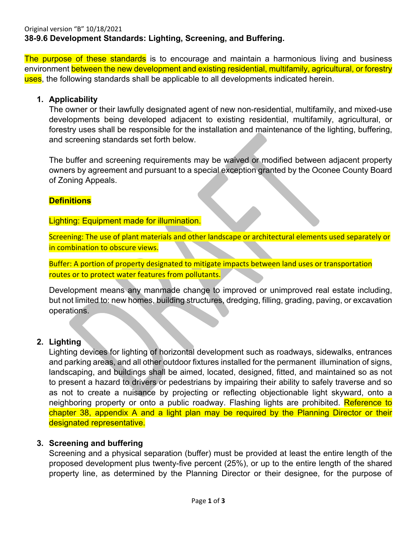The purpose of these standards is to encourage and maintain a harmonious living and business environment between the new development and existing residential, multifamily, agricultural, or forestry uses, the following standards shall be applicable to all developments indicated herein.

#### **1. Applicability**

The owner or their lawfully designated agent of new non-residential, multifamily, and mixed-use developments being developed adjacent to existing residential, multifamily, agricultural, or forestry uses shall be responsible for the installation and maintenance of the lighting, buffering, and screening standards set forth below.

The buffer and screening requirements may be waived or modified between adjacent property owners by agreement and pursuant to a special exception granted by the Oconee County Board of Zoning Appeals.

## **Definitions**

#### Lighting: Equipment made for illumination.

Screening: The use of plant materials and other landscape or architectural elements used separately or in combination to obscure views.

Buffer: A portion of property designated to mitigate impacts between land uses or transportation routes or to protect water features from pollutants.

Development means any manmade change to improved or unimproved real estate including, but not limited to: new homes, building structures, dredging, filling, grading, paving, or excavation operations.

## **2. Lighting**

Lighting devices for lighting of horizontal development such as roadways, sidewalks, entrances and parking areas, and all other outdoor fixtures installed for the permanent illumination of signs, landscaping, and buildings shall be aimed, located, designed, fitted, and maintained so as not to present a hazard to drivers or pedestrians by impairing their ability to safely traverse and so as not to create a nuisance by projecting or reflecting objectionable light skyward, onto a neighboring property or onto a public roadway. Flashing lights are prohibited. Reference to chapter 38, appendix A and a light plan may be required by the Planning Director or their designated representative.

## **3. Screening and buffering**

Screening and a physical separation (buffer) must be provided at least the entire length of the proposed development plus twenty-five percent (25%), or up to the entire length of the shared property line, as determined by the Planning Director or their designee, for the purpose of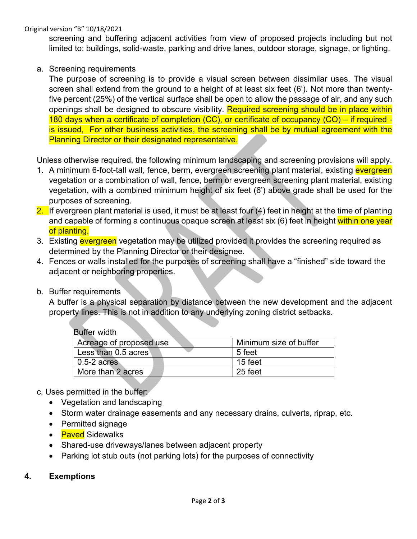Original version "B" 10/18/2021

screening and buffering adjacent activities from view of proposed projects including but not limited to: buildings, solid-waste, parking and drive lanes, outdoor storage, signage, or lighting.

#### a. Screening requirements

The purpose of screening is to provide a visual screen between dissimilar uses. The visual screen shall extend from the ground to a height of at least six feet (6'). Not more than twentyfive percent (25%) of the vertical surface shall be open to allow the passage of air, and any such openings shall be designed to obscure visibility. Required screening should be in place within 180 days when a certificate of completion (CC), or certificate of occupancy (CO) – if required is issued, For other business activities, the screening shall be by mutual agreement with the Planning Director or their designated representative.

Unless otherwise required, the following minimum landscaping and screening provisions will apply.

- 1. A minimum 6-foot-tall wall, fence, berm, evergreen screening plant material, existing evergreen vegetation or a combination of wall, fence, berm or evergreen screening plant material, existing vegetation, with a combined minimum height of six feet (6') above grade shall be used for the purposes of screening.
- 2. If evergreen plant material is used, it must be at least four  $(4)$  feet in height at the time of planting and capable of forming a continuous opaque screen at least six (6) feet in height within one year of planting.
- 3. Existing evergreen vegetation may be utilized provided it provides the screening required as determined by the Planning Director or their designee.
- 4. Fences or walls installed for the purposes of screening shall have a "finished" side toward the adjacent or neighboring properties.
- b. Buffer requirements

A buffer is a physical separation by distance between the new development and the adjacent property lines. This is not in addition to any underlying zoning district setbacks.

| Buffer width            |                        |
|-------------------------|------------------------|
| Acreage of proposed use | Minimum size of buffer |
| Less than 0.5 acres     | 5 feet                 |
| $0.5-2$ acres           | 15 feet                |
| More than 2 acres       | 25 feet                |
|                         |                        |

- c. Uses permitted in the buffer:
	- Vegetation and landscaping
	- Storm water drainage easements and any necessary drains, culverts, riprap, etc.
	- Permitted signage
	- **Paved** Sidewalks
	- Shared-use driveways/lanes between adjacent property
	- Parking lot stub outs (not parking lots) for the purposes of connectivity

#### **4. Exemptions**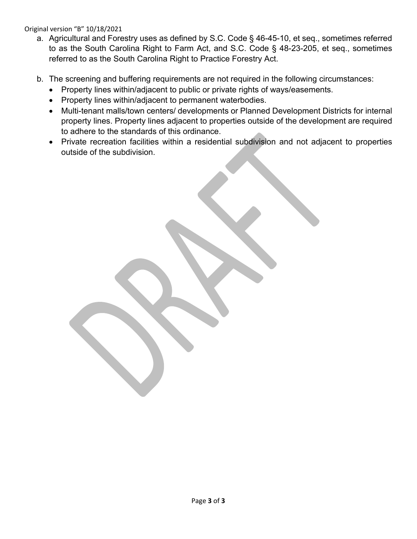#### Original version "B" 10/18/2021

- a. Agricultural and Forestry uses as defined by S.C. Code § 46-45-10, et seq., sometimes referred to as the South Carolina Right to Farm Act, and S.C. Code § 48-23-205, et seq., sometimes referred to as the South Carolina Right to Practice Forestry Act.
- b. The screening and buffering requirements are not required in the following circumstances:
	- Property lines within/adjacent to public or private rights of ways/easements.
	- Property lines within/adjacent to permanent waterbodies.
	- Multi-tenant malls/town centers/ developments or Planned Development Districts for internal property lines. Property lines adjacent to properties outside of the development are required to adhere to the standards of this ordinance.
	- Private recreation facilities within a residential subdivision and not adjacent to properties outside of the subdivision.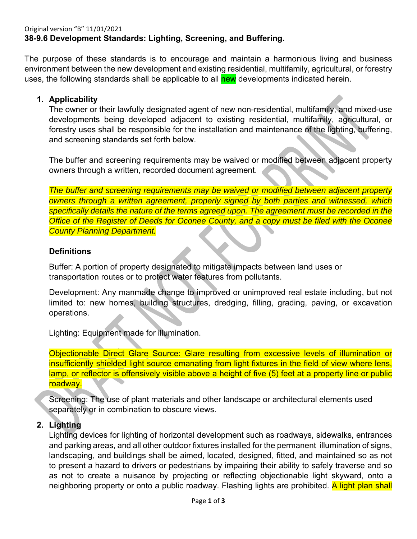The purpose of these standards is to encourage and maintain a harmonious living and business environment between the new development and existing residential, multifamily, agricultural, or forestry uses, the following standards shall be applicable to all new developments indicated herein.

## **1. Applicability**

The owner or their lawfully designated agent of new non-residential, multifamily, and mixed-use developments being developed adjacent to existing residential, multifamily, agricultural, or forestry uses shall be responsible for the installation and maintenance of the lighting, buffering, and screening standards set forth below.

The buffer and screening requirements may be waived or modified between adjacent property owners through a written, recorded document agreement.

*The buffer and screening requirements may be waived or modified between adjacent property owners through a written agreement, properly signed by both parties and witnessed, which specifically details the nature of the terms agreed upon. The agreement must be recorded in the Office of the Register of Deeds for Oconee County, and a copy must be filed with the Oconee County Planning Department.* 

## **Definitions**

Buffer: A portion of property designated to mitigate impacts between land uses or transportation routes or to protect water features from pollutants.

Development: Any manmade change to improved or unimproved real estate including, but not limited to: new homes, building structures, dredging, filling, grading, paving, or excavation operations.

Lighting: Equipment made for illumination.

Objectionable Direct Glare Source: Glare resulting from excessive levels of illumination or insufficiently shielded light source emanating from light fixtures in the field of view where lens, lamp, or reflector is offensively visible above a height of five (5) feet at a property line or public roadway.

Screening: The use of plant materials and other landscape or architectural elements used separately or in combination to obscure views.

## **2. Lighting**

Lighting devices for lighting of horizontal development such as roadways, sidewalks, entrances and parking areas, and all other outdoor fixtures installed for the permanent illumination of signs, landscaping, and buildings shall be aimed, located, designed, fitted, and maintained so as not to present a hazard to drivers or pedestrians by impairing their ability to safely traverse and so as not to create a nuisance by projecting or reflecting objectionable light skyward, onto a neighboring property or onto a public roadway. Flashing lights are prohibited. A light plan shall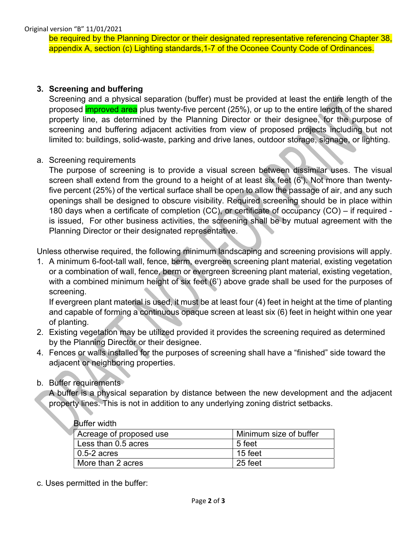be required by the Planning Director or their designated representative referencing Chapter 38, appendix A, section (c) Lighting standards,1-7 of the Oconee County Code of Ordinances.

#### **3. Screening and buffering**

Screening and a physical separation (buffer) must be provided at least the entire length of the proposed *improved area* plus twenty-five percent (25%), or up to the entire length of the shared property line, as determined by the Planning Director or their designee, for the purpose of screening and buffering adjacent activities from view of proposed projects including but not limited to: buildings, solid-waste, parking and drive lanes, outdoor storage, signage, or lighting.

#### a. Screening requirements

The purpose of screening is to provide a visual screen between dissimilar uses. The visual screen shall extend from the ground to a height of at least six feet (6'). Not more than twentyfive percent (25%) of the vertical surface shall be open to allow the passage of air, and any such openings shall be designed to obscure visibility. Required screening should be in place within 180 days when a certificate of completion (CC), or certificate of occupancy (CO) – if required is issued, For other business activities, the screening shall be by mutual agreement with the Planning Director or their designated representative.

Unless otherwise required, the following minimum landscaping and screening provisions will apply.

1. A minimum 6-foot-tall wall, fence, berm, evergreen screening plant material, existing vegetation or a combination of wall, fence, berm or evergreen screening plant material, existing vegetation, with a combined minimum height of six feet (6') above grade shall be used for the purposes of screening.

If evergreen plant material is used, it must be at least four (4) feet in height at the time of planting and capable of forming a continuous opaque screen at least six (6) feet in height within one year of planting.

- 2. Existing vegetation may be utilized provided it provides the screening required as determined by the Planning Director or their designee.
- 4. Fences or walls installed for the purposes of screening shall have a "finished" side toward the adjacent or neighboring properties.

#### b. Buffer requirements

A buffer is a physical separation by distance between the new development and the adjacent property lines. This is not in addition to any underlying zoning district setbacks.

| <b>Buffer width</b>     |                        |
|-------------------------|------------------------|
| Acreage of proposed use | Minimum size of buffer |
| Less than 0.5 acres     | 5 feet                 |
| $0.5-2$ acres           | 15 feet                |
| More than 2 acres       | 25 feet                |

c. Uses permitted in the buffer: